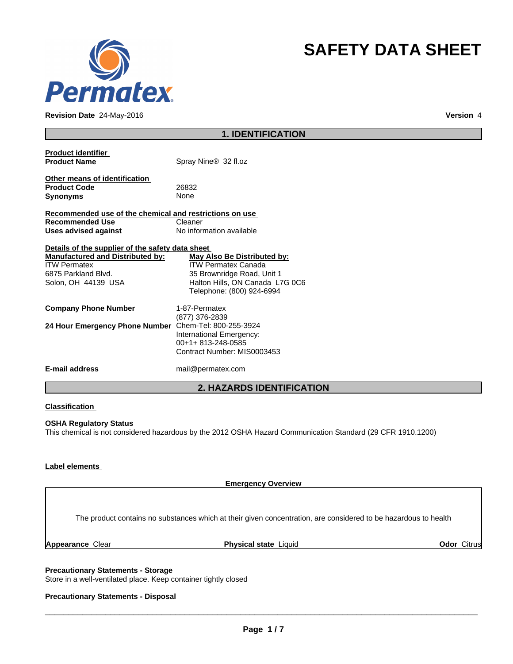

**Revision Date** 24-May-2016 **Version** 4

# **SAFETY DATA SHEET**

| <b>1. IDENTIFICATION</b> |  |
|--------------------------|--|
|--------------------------|--|

| <b>Product identifier</b><br><b>Product Name</b>                                                                                                                 | Spray Nine <sup>®</sup> 32 fl.oz                                                                                                                        |
|------------------------------------------------------------------------------------------------------------------------------------------------------------------|---------------------------------------------------------------------------------------------------------------------------------------------------------|
| Other means of identification<br><b>Product Code</b><br><b>Synonyms</b>                                                                                          | 26832<br><b>None</b>                                                                                                                                    |
| Recommended use of the chemical and restrictions on use<br><b>Recommended Use</b>                                                                                | Cleaner                                                                                                                                                 |
| Uses advised against                                                                                                                                             | No information available                                                                                                                                |
| Details of the supplier of the safety data sheet<br><b>Manufactured and Distributed by:</b><br><b>ITW Permatex</b><br>6875 Parkland Blvd.<br>Solon, OH 44139 USA | May Also Be Distributed by:<br><b>ITW Permatex Canada</b><br>35 Brownridge Road, Unit 1<br>Halton Hills, ON Canada L7G 0C6<br>Telephone: (800) 924-6994 |
| <b>Company Phone Number</b>                                                                                                                                      | 1-87-Permatex<br>(877) 376-2839                                                                                                                         |
| 24 Hour Emergency Phone Number                                                                                                                                   | Chem-Tel: 800-255-3924<br>International Emergency:<br>00+1+813-248-0585<br>Contract Number: MIS0003453                                                  |
| <b>E-mail address</b>                                                                                                                                            | mail@permatex.com                                                                                                                                       |

### **2. HAZARDS IDENTIFICATION**

#### **Classification**

#### **OSHA Regulatory Status**

This chemical is not considered hazardous by the 2012 OSHA Hazard Communication Standard (29 CFR 1910.1200)

### **Label elements**

**Emergency Overview**

The product contains no substances which at their given concentration, are considered to be hazardous to health

**Appearance** Clear **Physical state** Liquid **Odor** Citrus

**Precautionary Statements - Storage** Store in a well-ventilated place. Keep container tightly closed

#### **Precautionary Statements - Disposal**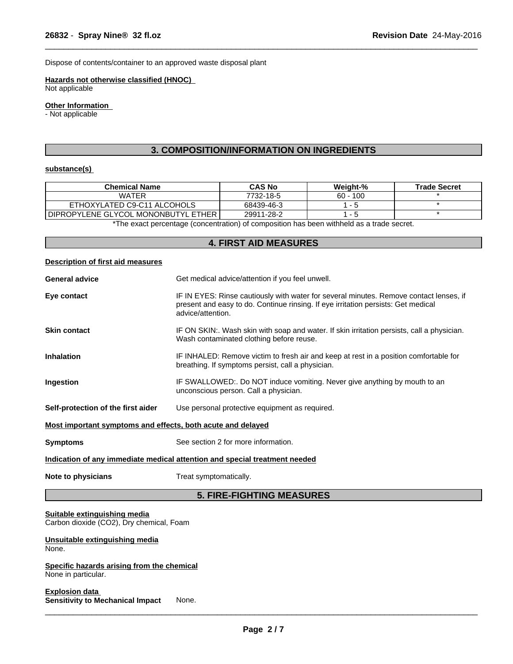Dispose of contents/container to an approved waste disposal plant

#### **Hazards not otherwise classified (HNOC)**

Not applicable

# **Other Information**

- Not applicable

# **3. COMPOSITION/INFORMATION ON INGREDIENTS**

 $\overline{\phantom{a}}$  ,  $\overline{\phantom{a}}$  ,  $\overline{\phantom{a}}$  ,  $\overline{\phantom{a}}$  ,  $\overline{\phantom{a}}$  ,  $\overline{\phantom{a}}$  ,  $\overline{\phantom{a}}$  ,  $\overline{\phantom{a}}$  ,  $\overline{\phantom{a}}$  ,  $\overline{\phantom{a}}$  ,  $\overline{\phantom{a}}$  ,  $\overline{\phantom{a}}$  ,  $\overline{\phantom{a}}$  ,  $\overline{\phantom{a}}$  ,  $\overline{\phantom{a}}$  ,  $\overline{\phantom{a}}$ 

### **substance(s)**

| <b>CAS No</b> | <b>Weight-%</b> | <b>Trade Secret</b> |
|---------------|-----------------|---------------------|
| 7732-18-5     | $60 - 100$      |                     |
| 68439-46-3    |                 |                     |
| 29911-28-2    |                 |                     |
|               |                 |                     |

The exact percentage (concentration) of composition has been withheld as a trade secret.

#### **4. FIRST AID MEASURES**

| <b>Description of first aid measures</b>                                   |                                                                                                                                                                                                  |  |  |
|----------------------------------------------------------------------------|--------------------------------------------------------------------------------------------------------------------------------------------------------------------------------------------------|--|--|
| <b>General advice</b>                                                      | Get medical advice/attention if you feel unwell.                                                                                                                                                 |  |  |
| Eye contact                                                                | IF IN EYES: Rinse cautiously with water for several minutes. Remove contact lenses, if<br>present and easy to do. Continue rinsing. If eye irritation persists: Get medical<br>advice/attention. |  |  |
| <b>Skin contact</b>                                                        | IF ON SKIN:. Wash skin with soap and water. If skin irritation persists, call a physician.<br>Wash contaminated clothing before reuse.                                                           |  |  |
| <b>Inhalation</b>                                                          | IF INHALED: Remove victim to fresh air and keep at rest in a position comfortable for<br>breathing. If symptoms persist, call a physician.                                                       |  |  |
| Ingestion                                                                  | IF SWALLOWED:. Do NOT induce vomiting. Never give anything by mouth to an<br>unconscious person. Call a physician.                                                                               |  |  |
| Self-protection of the first aider                                         | Use personal protective equipment as required.                                                                                                                                                   |  |  |
| Most important symptoms and effects, both acute and delayed                |                                                                                                                                                                                                  |  |  |
| <b>Symptoms</b>                                                            | See section 2 for more information.                                                                                                                                                              |  |  |
| Indication of any immediate medical attention and special treatment needed |                                                                                                                                                                                                  |  |  |
| Note to physicians                                                         | Treat symptomatically.                                                                                                                                                                           |  |  |

# **5. FIRE-FIGHTING MEASURES**

### **Suitable extinguishing media**

Carbon dioxide (CO2), Dry chemical, Foam

#### **Unsuitable extinguishing media** None.

#### **Specific hazards arising from the chemical** None in particular.

**Explosion data Sensitivity to Mechanical Impact** None.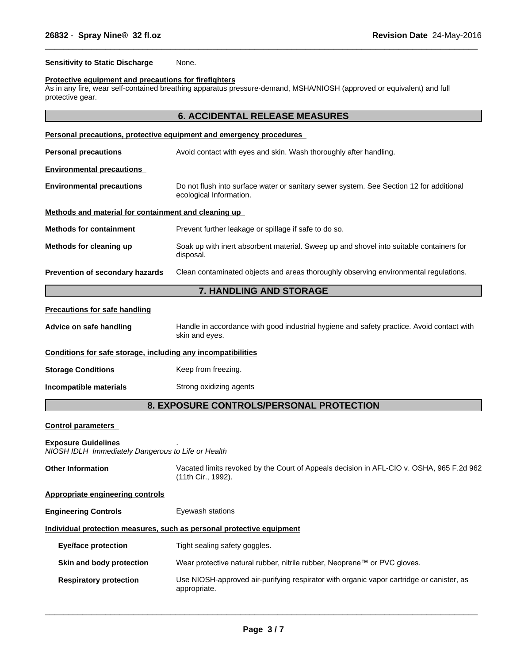**Sensitivity to Static Discharge** None.

#### **Protective equipment and precautions for firefighters**

As in any fire, wear self-contained breathing apparatus pressure-demand, MSHA/NIOSH (approved or equivalent) and full protective gear.

 $\overline{\phantom{a}}$  ,  $\overline{\phantom{a}}$  ,  $\overline{\phantom{a}}$  ,  $\overline{\phantom{a}}$  ,  $\overline{\phantom{a}}$  ,  $\overline{\phantom{a}}$  ,  $\overline{\phantom{a}}$  ,  $\overline{\phantom{a}}$  ,  $\overline{\phantom{a}}$  ,  $\overline{\phantom{a}}$  ,  $\overline{\phantom{a}}$  ,  $\overline{\phantom{a}}$  ,  $\overline{\phantom{a}}$  ,  $\overline{\phantom{a}}$  ,  $\overline{\phantom{a}}$  ,  $\overline{\phantom{a}}$ 

|                                                      | <b>6. ACCIDENTAL RELEASE MEASURES</b>                                                                              |  |
|------------------------------------------------------|--------------------------------------------------------------------------------------------------------------------|--|
|                                                      | Personal precautions, protective equipment and emergency procedures                                                |  |
| <b>Personal precautions</b>                          | Avoid contact with eyes and skin. Wash thoroughly after handling.                                                  |  |
| <b>Environmental precautions</b>                     |                                                                                                                    |  |
| <b>Environmental precautions</b>                     | Do not flush into surface water or sanitary sewer system. See Section 12 for additional<br>ecological Information. |  |
| Methods and material for containment and cleaning up |                                                                                                                    |  |
| <b>Methods for containment</b>                       | Prevent further leakage or spillage if safe to do so.                                                              |  |
| Methods for cleaning up                              | Soak up with inert absorbent material. Sweep up and shovel into suitable containers for<br>disposal.               |  |
| Prevention of secondary hazards                      | Clean contaminated objects and areas thoroughly observing environmental regulations.                               |  |
| <b>7. HANDLING AND STORAGE</b>                       |                                                                                                                    |  |
| <b>Precautions for safe handling</b>                 |                                                                                                                    |  |
| Advice on safe handling                              | Handle in accordance with good industrial hygiene and safety practice. Avoid contact with<br>skin and eyes.        |  |

| Conditions for safe storage, including any incompatibilities |  |
|--------------------------------------------------------------|--|
|                                                              |  |

- **Storage Conditions** Keep from freezing.
- **Incompatible materials Strong oxidizing agents**

# **8. EXPOSURE CONTROLS/PERSONAL PROTECTION**

#### **Control parameters**

#### **Exposure Guidelines** .

*NIOSH IDLH Immediately Dangerous to Life or Health*

| <b>Other Information</b>                | Vacated limits revoked by the Court of Appeals decision in AFL-CIO v. OSHA, 965 F.2d 962<br>(11th Cir., 1992). |  |
|-----------------------------------------|----------------------------------------------------------------------------------------------------------------|--|
| <b>Appropriate engineering controls</b> |                                                                                                                |  |
| <b>Engineering Controls</b>             | Eyewash stations                                                                                               |  |
|                                         | Individual protection measures, such as personal protective equipment                                          |  |
| Eye/face protection                     | Tight sealing safety goggles.                                                                                  |  |
| Skin and body protection                | Wear protective natural rubber, nitrile rubber, Neoprene™ or PVC gloves.                                       |  |
| <b>Respiratory protection</b>           | Use NIOSH-approved air-purifying respirator with organic vapor cartridge or canister, as<br>appropriate.       |  |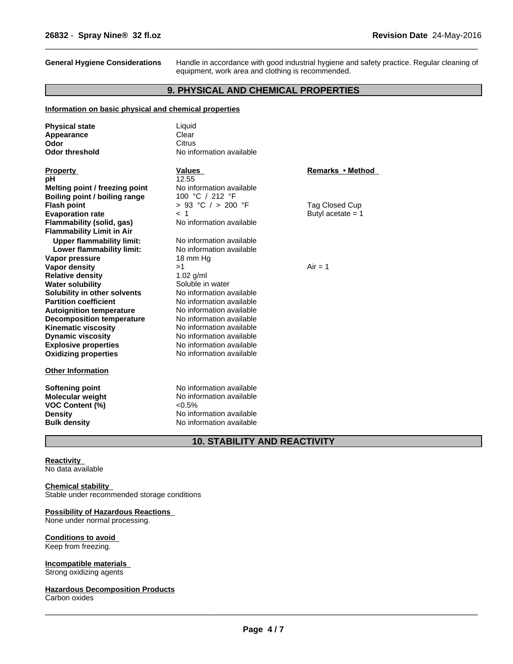**General Hygiene Considerations** Handle in accordance with good industrial hygiene and safety practice. Regular cleaning of equipment, work area and clothing is recommended.

 $\overline{\phantom{a}}$  ,  $\overline{\phantom{a}}$  ,  $\overline{\phantom{a}}$  ,  $\overline{\phantom{a}}$  ,  $\overline{\phantom{a}}$  ,  $\overline{\phantom{a}}$  ,  $\overline{\phantom{a}}$  ,  $\overline{\phantom{a}}$  ,  $\overline{\phantom{a}}$  ,  $\overline{\phantom{a}}$  ,  $\overline{\phantom{a}}$  ,  $\overline{\phantom{a}}$  ,  $\overline{\phantom{a}}$  ,  $\overline{\phantom{a}}$  ,  $\overline{\phantom{a}}$  ,  $\overline{\phantom{a}}$ 

# **9. PHYSICAL AND CHEMICAL PROPERTIES**

#### **Information on basic physical and chemical properties**

| <b>Physical state</b><br>Appearance                                         | Liquid<br>Clear                                                   |                     |
|-----------------------------------------------------------------------------|-------------------------------------------------------------------|---------------------|
| Odor                                                                        | Citrus                                                            |                     |
| <b>Odor threshold</b>                                                       | No information available                                          |                     |
|                                                                             |                                                                   |                     |
| <b>Property</b>                                                             | <b>Values</b>                                                     | Remarks • Method    |
| рH                                                                          | 12.55                                                             |                     |
| Melting point / freezing point                                              | No information available                                          |                     |
| Boiling point / boiling range                                               | 100 °C / 212 °F                                                   |                     |
| <b>Flash point</b>                                                          | $> 93$ °C $/ > 200$ °F                                            | Tag Closed Cup      |
| <b>Evaporation rate</b>                                                     | < 1                                                               | Butyl acetate $= 1$ |
| Flammability (solid, gas)                                                   | No information available                                          |                     |
| <b>Flammability Limit in Air</b>                                            |                                                                   |                     |
| <b>Upper flammability limit:</b>                                            | No information available                                          |                     |
| Lower flammability limit:                                                   | No information available                                          |                     |
| Vapor pressure                                                              | 18 mm Hg                                                          |                     |
| <b>Vapor density</b>                                                        | >1                                                                | $Air = 1$           |
| <b>Relative density</b>                                                     | $1.02$ g/ml                                                       |                     |
| <b>Water solubility</b>                                                     | Soluble in water                                                  |                     |
| Solubility in other solvents                                                | No information available                                          |                     |
| <b>Partition coefficient</b>                                                | No information available                                          |                     |
| <b>Autoignition temperature</b>                                             | No information available                                          |                     |
| <b>Decomposition temperature</b>                                            | No information available                                          |                     |
| <b>Kinematic viscosity</b>                                                  | No information available                                          |                     |
| <b>Dynamic viscosity</b>                                                    | No information available                                          |                     |
| <b>Explosive properties</b>                                                 | No information available                                          |                     |
| <b>Oxidizing properties</b>                                                 | No information available                                          |                     |
| <b>Other Information</b>                                                    |                                                                   |                     |
| <b>Softening point</b><br><b>Molecular weight</b><br><b>VOC Content (%)</b> | No information available<br>No information available<br>$< 0.5\%$ |                     |
| <b>Density</b>                                                              | No information available<br>No information available              |                     |
| <b>Bulk density</b>                                                         |                                                                   |                     |

# **10. STABILITY AND REACTIVITY**

#### **Reactivity**

No data available

#### **Chemical stability**

Stable under recommended storage conditions

#### **Possibility of Hazardous Reactions**

None under normal processing.

# **Conditions to avoid**

Keep from freezing.

# **Incompatible materials**

Strong oxidizing agents

# **Hazardous Decomposition Products**

Carbon oxides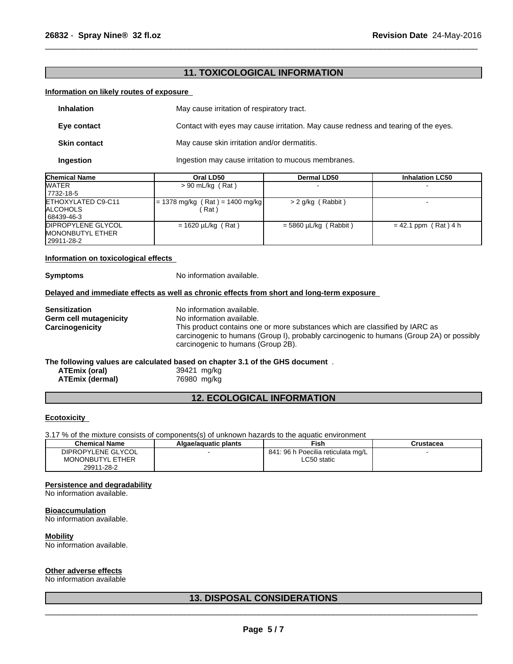# **11. TOXICOLOGICAL INFORMATION**

 $\overline{\phantom{a}}$  ,  $\overline{\phantom{a}}$  ,  $\overline{\phantom{a}}$  ,  $\overline{\phantom{a}}$  ,  $\overline{\phantom{a}}$  ,  $\overline{\phantom{a}}$  ,  $\overline{\phantom{a}}$  ,  $\overline{\phantom{a}}$  ,  $\overline{\phantom{a}}$  ,  $\overline{\phantom{a}}$  ,  $\overline{\phantom{a}}$  ,  $\overline{\phantom{a}}$  ,  $\overline{\phantom{a}}$  ,  $\overline{\phantom{a}}$  ,  $\overline{\phantom{a}}$  ,  $\overline{\phantom{a}}$ 

#### **Information on likely routes of exposure**

| <b>Inhalation</b>   | May cause irritation of respiratory tract.                                         |
|---------------------|------------------------------------------------------------------------------------|
| Eye contact         | Contact with eyes may cause irritation. May cause redness and tearing of the eyes. |
| <b>Skin contact</b> | May cause skin irritation and/or dermatitis.                                       |
| Ingestion           | Ingestion may cause irritation to mucous membranes.                                |

| <b>Chemical Name</b>       | Oral LD50                         | Dermal LD50             | <b>Inhalation LC50</b> |
|----------------------------|-----------------------------------|-------------------------|------------------------|
| <b>WATER</b>               | $> 90$ mL/kg (Rat)                |                         |                        |
| 17732-18-5                 |                                   |                         |                        |
| <b>IETHOXYLATED C9-C11</b> | $= 1378$ mg/kg (Rat) = 1400 mg/kg | > 2 g/kg (Rabbit)       |                        |
| <b>IALCOHOLS</b>           | ์ Rat )                           |                         |                        |
| 68439-46-3                 |                                   |                         |                        |
| <b>DIPROPYLENE GLYCOL</b>  | $= 1620 \mu L/kg$ (Rat)           | $=$ 5860 µL/kg (Rabbit) | $= 42.1$ ppm (Rat) 4 h |
| <b>MONONBUTYL ETHER</b>    |                                   |                         |                        |
| 129911-28-2                |                                   |                         |                        |

#### **Information on toxicological effects**

**Symptoms** No information available.

#### **Delayed and immediate effects as well as chronic effects from short and long-term exposure**

| <b>Sensitization</b>          | No information available.                                                                                                                                                                                      |
|-------------------------------|----------------------------------------------------------------------------------------------------------------------------------------------------------------------------------------------------------------|
| <b>Germ cell mutagenicity</b> | No information available.                                                                                                                                                                                      |
| Carcinogenicity               | This product contains one or more substances which are classified by IARC as<br>carcinogenic to humans (Group I), probably carcinogenic to humans (Group 2A) or possibly<br>carcinogenic to humans (Group 2B). |
|                               | The following values are established becad on chanter 2.4 of the OUP decument                                                                                                                                  |

#### **The following values are calculated based on chapter 3.1 of the GHS document** .

| ATEmix (oral)   | 39421 mg/kg |
|-----------------|-------------|
| ATEmix (dermal) | 76980 mg/kg |

# **12. ECOLOGICAL INFORMATION**

#### **Ecotoxicity**

3.17 % of the mixture consists of components(s) of unknown hazards to the aquatic environment

| <b>Chemical Name</b>    | Algae/aquatic plants | Fish                               | Crustacea |
|-------------------------|----------------------|------------------------------------|-----------|
| DIPROPYLENE GLYCOL      |                      | 841: 96 h Poecilia reticulata mg/L |           |
| <b>MONONBUTYL ETHER</b> |                      | ∟C50 static                        |           |
| 29911-28-2              |                      |                                    |           |

# **Persistence and degradability**

No information available.

### **Bioaccumulation**

No information available.

### **Mobility**

No information available.

### **Other adverse effects**

No information available

# **13. DISPOSAL CONSIDERATIONS**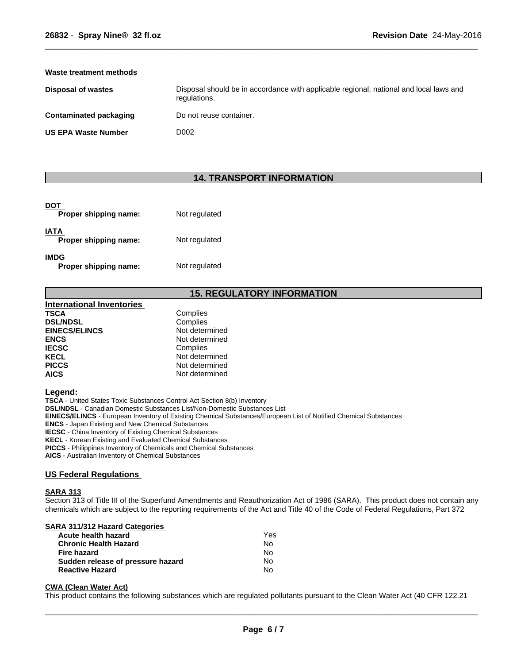| Waste treatment methods       |                                                                                                        |
|-------------------------------|--------------------------------------------------------------------------------------------------------|
| <b>Disposal of wastes</b>     | Disposal should be in accordance with applicable regional, national and local laws and<br>regulations. |
| <b>Contaminated packaging</b> | Do not reuse container.                                                                                |
| <b>US EPA Waste Number</b>    | D002                                                                                                   |

 $\overline{\phantom{a}}$  ,  $\overline{\phantom{a}}$  ,  $\overline{\phantom{a}}$  ,  $\overline{\phantom{a}}$  ,  $\overline{\phantom{a}}$  ,  $\overline{\phantom{a}}$  ,  $\overline{\phantom{a}}$  ,  $\overline{\phantom{a}}$  ,  $\overline{\phantom{a}}$  ,  $\overline{\phantom{a}}$  ,  $\overline{\phantom{a}}$  ,  $\overline{\phantom{a}}$  ,  $\overline{\phantom{a}}$  ,  $\overline{\phantom{a}}$  ,  $\overline{\phantom{a}}$  ,  $\overline{\phantom{a}}$ 

# **14. TRANSPORT INFORMATION**

| DOT<br>Proper shipping name:         | Not regulated |
|--------------------------------------|---------------|
| <b>IATA</b><br>Proper shipping name: | Not regulated |
| <b>IMDG</b><br>Proper shipping name: | Not regulated |

# **15. REGULATORY INFORMATION**

| <b>International Inventories</b> |                |
|----------------------------------|----------------|
| TSCA                             | Complies       |
| <b>DSL/NDSL</b>                  | Complies       |
| <b>EINECS/ELINCS</b>             | Not determined |
| <b>ENCS</b>                      | Not determined |
| <b>IECSC</b>                     | Complies       |
| <b>KECL</b>                      | Not determined |
| <b>PICCS</b>                     | Not determined |
| <b>AICS</b>                      | Not determined |

#### **Legend:**

**TSCA** - United States Toxic Substances Control Act Section 8(b) Inventory **DSL/NDSL** - Canadian Domestic Substances List/Non-Domestic Substances List **EINECS/ELINCS** - European Inventory of Existing Chemical Substances/European List of Notified Chemical Substances **ENCS** - Japan Existing and New Chemical Substances

**IECSC** - China Inventory of Existing Chemical Substances

**KECL** - Korean Existing and Evaluated Chemical Substances

**PICCS** - Philippines Inventory of Chemicals and Chemical Substances

**AICS** - Australian Inventory of Chemical Substances

#### **US Federal Regulations**

#### **SARA 313**

Section 313 of Title III of the Superfund Amendments and Reauthorization Act of 1986 (SARA). This product does not contain any chemicals which are subject to the reporting requirements of the Act and Title 40 of the Code of Federal Regulations, Part 372

#### **SARA 311/312 Hazard Categories**

| Acute health hazard               | Yes |  |
|-----------------------------------|-----|--|
| <b>Chronic Health Hazard</b>      | No. |  |
| Fire hazard                       | N٥  |  |
| Sudden release of pressure hazard | N٥  |  |
| <b>Reactive Hazard</b>            | N٥  |  |

#### **CWA** (Clean Water Act)

This product contains the following substances which are regulated pollutants pursuant to the Clean Water Act (40 CFR 122.21